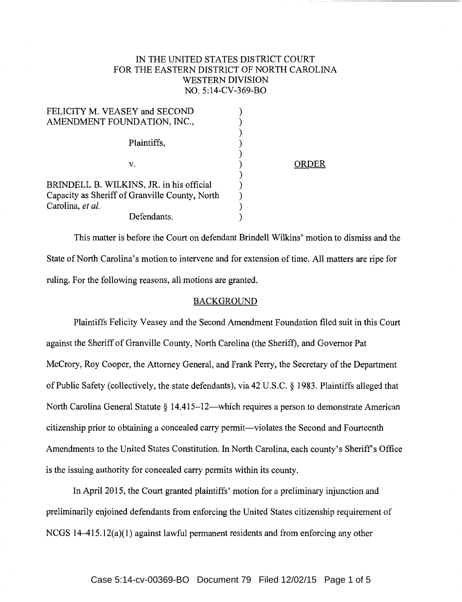# IN THE UNITED STATES DISTRICT COURT FOR THE EASTERN DISTRICT OF NORTH CAROLINA WESTERN DIVISION NO. 5:14-CV-369-BO

| FELICITY M. VEASEY and SECOND                  |       |
|------------------------------------------------|-------|
| AMENDMENT FOUNDATION, INC.,                    |       |
| Plaintiffs,                                    |       |
| v.                                             | ORDER |
|                                                |       |
| BRINDELL B. WILKINS, JR. in his official       |       |
| Capacity as Sheriff of Granville County, North |       |
| Carolina, et al.                               |       |
| Defendants.                                    |       |

This matter is before the Court on defendant Brindell Wilkins' motion to dismiss and the State of North Carolina's motion to intervene and for extension of time. All matters are ripe for ruling. For the following reasons, all motions are granted.

#### BACKGROUND

Plaintiffs Felicity Veasey and the Second Amendment Foundation filed suit in this Court against the Sheriff of Granville County, North Carolina (the Sheriff), and Governor Pat McCrory, Roy Cooper, the Attorney General, and Frank Perry, the Secretary of the Department of Public Safety (collectively, the state defendants), via 42 U.S.C. *§* 1983. Plaintiffs alleged that North Carolina General Statute  $\S 14.415-12$ —which requires a person to demonstrate American citizenship prior to obtaining a concealed carry permit-violates the Second and Fourteenth Amendments to the United States Constitution. In North Carolina, each county's Sheriff's Office is the issuing authority for concealed carry permits within its county.

In April 2015, the Court granted plaintiffs' motion for a preliminary injunction and preliminarily enjoined defendants from enforcing the United States citizenship requirement of NCGS 14-415.12(a)(l) against lawful permanent residents and from enforcing any other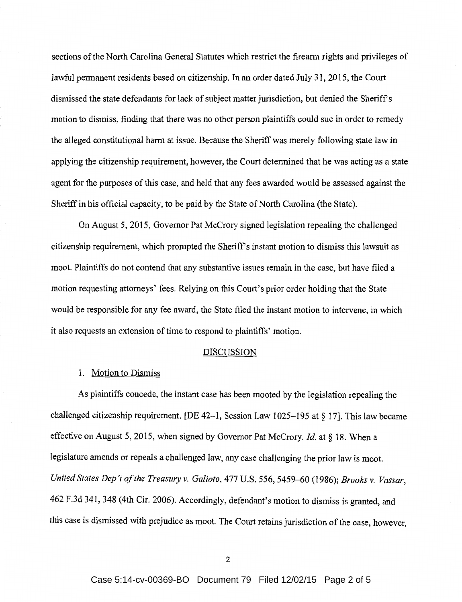sections of the North Carolina General Statutes which restrict the firearm rights and privileges of lawful permanent residents based on citizenship. In an order dated July 31, 2015, the Court dismissed the state defendants for lack of subject matter jurisdiction, but denied the Sheriffs motion to dismiss, finding that there was no other person plaintiffs could sue in order to remedy the alleged constitutional harm at issue. Because the Sheriff was merely following state law in applying the citizenship requirement, however, the Court determined that he was acting as a state agent for the purposes of this case, and held that any fees awarded would be assessed against the Sheriff in his official capacity, to be paid by the State of North Carolina (the State).

On August 5, 2015, Governor Pat McCrory signed legislation repealing the challenged citizenship requirement, which prompted the Sheriff's instant motion to dismiss this lawsuit as moot. Plaintiffs do not contend that any substantive issues remain in the case, but have filed a motion requesting attorneys' fees. Relying on this Court's prior order holding that the State would be responsible for any fee award, the State filed the instant motion to intervene, in which it also requests an extension of time to respond to plaintiffs' motion.

#### **DISCUSSION**

## 1. Motion to Dismiss

As plaintiffs concede, the instant case has been mooted by the legislation repealing the challenged citizenship requirement. [DE 42-1, Session Law 1025-195 at  $\S 17$ ]. This law became effective on August 5, 2015, when signed by Governor Pat McCrory. *Id.* at§ 18. When a legislature amends or repeals a challenged law, any case challenging the prior law is moot. *United States Dep 't of the Treasury v. Galioto,* 477 U.S. 556, 5459-60 (1986); *Brooks v. Vassar,*  462 F.3d 341, 348 (4th Cir. 2006). Accordingly, defendant's motion to dismiss is granted, and this case is dismissed with prejudice as moot. The Court retains jurisdiction of the case, however,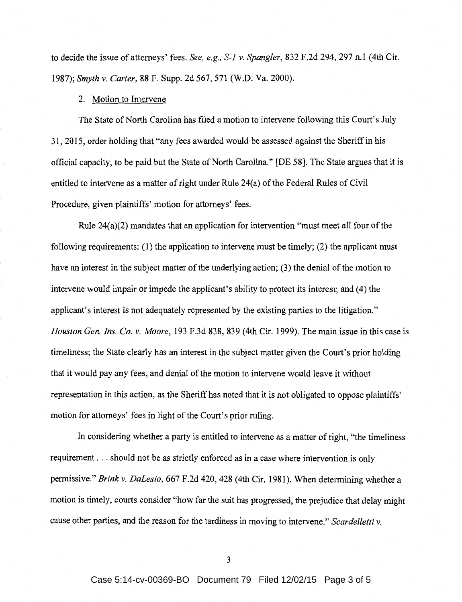to decide the issue of attorneys' fees. *See, e.g., S-1 v. Spangler,* 832 F.2d 294, 297 n.1 (4th Cir. 1987); *Smyth v. Carter,* 88 F. Supp. 2d 567, 571 (W.D. Va. 2000).

## 2. Motion to Intervene

The State of North Carolina has filed a motion to intervene following this Court's July 31, 2015, order holding that "any fees awarded would be assessed against the Sheriff in his official capacity, to be paid but the State of North Carolina." [DE 58]. The State argues that it is entitled to intervene as a matter of right under Rule 24(a) of the Federal Rules of Civil Procedure, given plaintiffs' motion for attorneys' fees.

Rule 24(a)(2) mandates that an application for intervention "must meet all four of the following requirements: (1) the application to intervene must be timely; (2) the applicant must have an interest in the subject matter of the underlying action; (3) the denial of the motion to intervene would impair or impede the applicant's ability to protect its interest; and (4) the applicant's interest is not adequately represented by the existing parties to the litigation." *Houston Gen. Ins. Co. v. Moore,* 193 F.3d 838, 839 (4th Cir. 1999). The main issue in this case is timeliness; the State clearly has an interest in the subject matter given the Court's prior holding that it would pay any fees, and denial of the motion to intervene would leave it without representation in this action, as the Sheriff has noted that it is not obligated to oppose plaintiffs' motion for attorneys' fees in light of the Court's prior ruling.

In considering whether a party is entitled to intervene as a matter of right, "the timeliness requirement ... should not be as strictly enforced as in a case where intervention is only permissive." *Brink v. DaLesio,* 667 F.2d 420, 428 (4th Cir. 1981). When determining whether a motion is timely, courts consider "how far the suit has progressed, the prejudice that delay might cause other parties, and the reason for the tardiness in moving to intervene." *Scardelletti v.*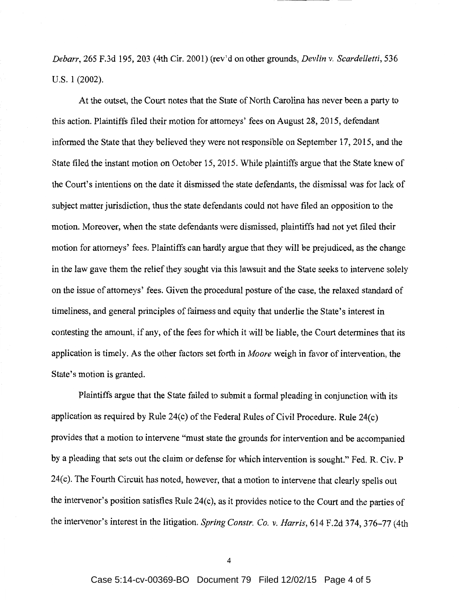*Debarr,* 265 F.3d 195, 203 (4th Cir. 2001) (rev'd on other grounds, *Devlin v. Scardelletti,* 536 U.S. 1 (2002).

At the outset, the Court notes that the State of North Carolina has never been a party to this action. Plaintiffs filed their motion for attorneys' fees on August 28, 2015, defendant informed the State that they believed they were not responsible on September 17, 2015, and the State filed the instant motion on October 15, 2015. While plaintiffs argue that the State knew of the Court's intentions on the date it dismissed the state defendants, the dismissal was for lack of subject matter jurisdiction, thus the state defendants could not have filed an opposition to the motion. Moreover, when the state defendants were dismissed, plaintiffs had not yet filed their motion for attorneys' fees. Plaintiffs can hardly argue that they will be prejudiced, as the change in the law gave them the relief they sought via this lawsuit and the State seeks to intervene solely on the issue of attorneys' fees. Given the procedural posture of the case, the relaxed standard of timeliness, and general principles of fairness and equity that underlie the State's interest in contesting the amount, if any, of the fees for which it will be liable, the Court determines that its application is timely. As the other factors set forth in *Moore* weigh in favor of intervention, the State's motion is granted.

Plaintiffs argue that the State failed to submit a formal pleading in conjunction with its application as required by Rule 24 $(c)$  of the Federal Rules of Civil Procedure. Rule 24 $(c)$ provides that a motion to intervene "must state the grounds for intervention and be accompanied by a pleading that sets out the claim or defense for which intervention is sought." Fed. R. Civ. P 24(c). The Fourth Circuit has noted, however, that a motion to intervene that clearly spells out the intervenor's position satisfies Rule  $24(c)$ , as it provides notice to the Court and the parties of the intervenor's interest in the litigation. *Spring Constr. Co. v. Harris,* 614 F.2d 374, 376-77 (4th